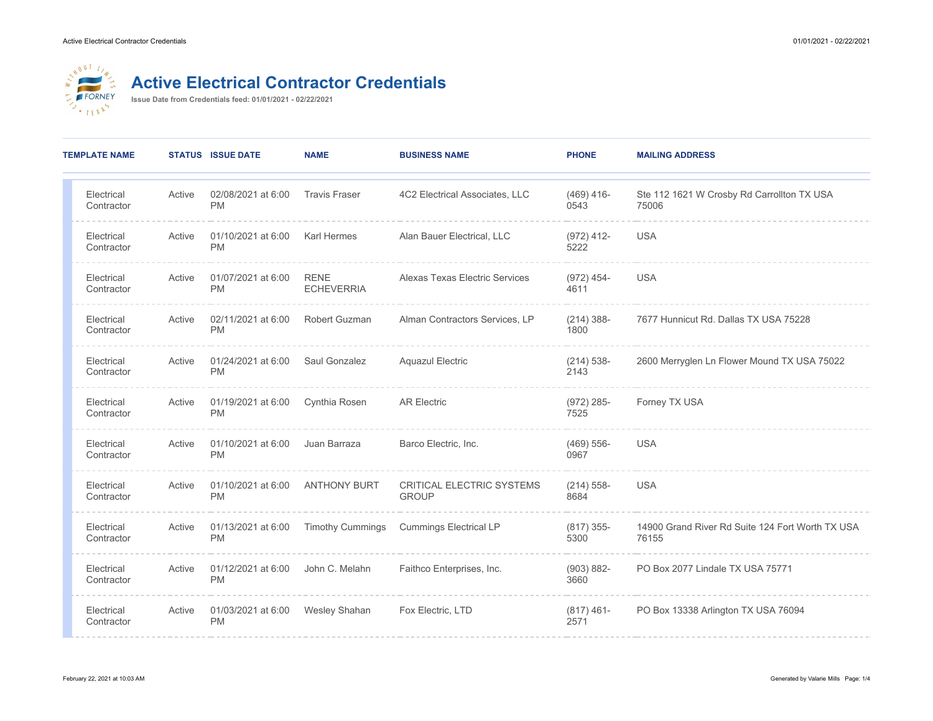

## **Active Electrical Contractor Credentials**

**Issue Date from Credentials feed: 01/01/2021 - 02/22/2021**

| <b>TEMPLATE NAME</b>     |        | <b>STATUS ISSUE DATE</b>        | <b>NAME</b>                      | <b>BUSINESS NAME</b>                      | <b>PHONE</b>          | <b>MAILING ADDRESS</b>                                    |
|--------------------------|--------|---------------------------------|----------------------------------|-------------------------------------------|-----------------------|-----------------------------------------------------------|
| Electrical<br>Contractor | Active | 02/08/2021 at 6:00<br><b>PM</b> | <b>Travis Fraser</b>             | 4C2 Electrical Associates, LLC            | $(469)$ 416-<br>0543  | Ste 112 1621 W Crosby Rd Carrollton TX USA<br>75006       |
| Electrical<br>Contractor | Active | 01/10/2021 at 6:00<br><b>PM</b> | <b>Karl Hermes</b>               | Alan Bauer Electrical, LLC                | $(972)$ 412-<br>5222  | <b>USA</b>                                                |
| Electrical<br>Contractor | Active | 01/07/2021 at 6:00<br><b>PM</b> | <b>RENE</b><br><b>ECHEVERRIA</b> | Alexas Texas Electric Services            | $(972)$ 454-<br>4611  | <b>USA</b>                                                |
| Electrical<br>Contractor | Active | 02/11/2021 at 6:00<br><b>PM</b> | Robert Guzman                    | Alman Contractors Services, LP            | $(214)$ 388-<br>1800  | 7677 Hunnicut Rd. Dallas TX USA 75228                     |
| Electrical<br>Contractor | Active | 01/24/2021 at 6:00<br><b>PM</b> | Saul Gonzalez                    | <b>Aquazul Electric</b>                   | $(214) 538 -$<br>2143 | 2600 Merryglen Ln Flower Mound TX USA 75022               |
| Electrical<br>Contractor | Active | 01/19/2021 at 6:00<br><b>PM</b> | Cynthia Rosen                    | <b>AR Electric</b>                        | $(972)$ 285-<br>7525  | Forney TX USA                                             |
| Electrical<br>Contractor | Active | 01/10/2021 at 6:00<br><b>PM</b> | Juan Barraza                     | Barco Electric, Inc.                      | $(469) 556-$<br>0967  | <b>USA</b>                                                |
| Electrical<br>Contractor | Active | 01/10/2021 at 6:00<br><b>PM</b> | <b>ANTHONY BURT</b>              | CRITICAL ELECTRIC SYSTEMS<br><b>GROUP</b> | $(214) 558-$<br>8684  | <b>USA</b>                                                |
| Electrical<br>Contractor | Active | 01/13/2021 at 6:00<br><b>PM</b> | <b>Timothy Cummings</b>          | <b>Cummings Electrical LP</b>             | $(817)$ 355-<br>5300  | 14900 Grand River Rd Suite 124 Fort Worth TX USA<br>76155 |
| Electrical<br>Contractor | Active | 01/12/2021 at 6:00<br><b>PM</b> | John C. Melahn                   | Faithco Enterprises, Inc.                 | $(903) 882 -$<br>3660 | PO Box 2077 Lindale TX USA 75771                          |
| Electrical<br>Contractor | Active | 01/03/2021 at 6:00<br><b>PM</b> | <b>Wesley Shahan</b>             | Fox Electric, LTD                         | $(817)$ 461-<br>2571  | PO Box 13338 Arlington TX USA 76094                       |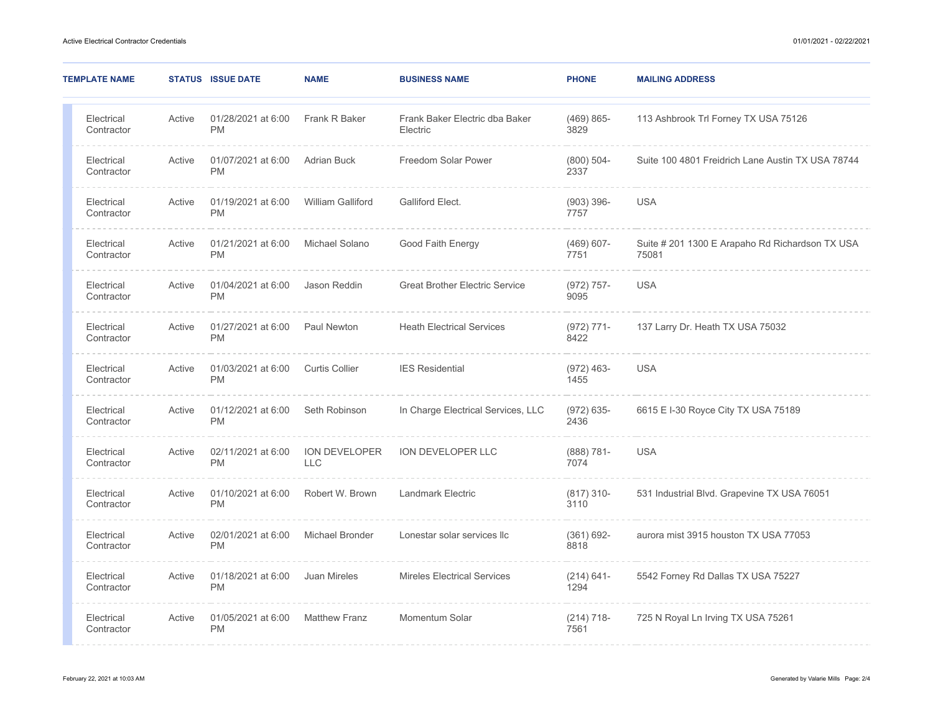| <b>TEMPLATE NAME</b>     |        | <b>STATUS ISSUE DATE</b>        | <b>NAME</b>                        | <b>BUSINESS NAME</b>                       | <b>PHONE</b>          | <b>MAILING ADDRESS</b>                                   |
|--------------------------|--------|---------------------------------|------------------------------------|--------------------------------------------|-----------------------|----------------------------------------------------------|
| Electrical<br>Contractor | Active | 01/28/2021 at 6:00<br><b>PM</b> | Frank R Baker                      | Frank Baker Electric dba Baker<br>Electric | $(469)865-$<br>3829   | 113 Ashbrook Trl Forney TX USA 75126                     |
| Electrical<br>Contractor | Active | 01/07/2021 at 6:00<br><b>PM</b> | <b>Adrian Buck</b>                 | Freedom Solar Power                        | $(800) 504 -$<br>2337 | Suite 100 4801 Freidrich Lane Austin TX USA 78744        |
| Electrical<br>Contractor | Active | 01/19/2021 at 6:00<br><b>PM</b> | <b>William Galliford</b>           | Galliford Elect.                           | $(903)$ 396-<br>7757  | <b>USA</b>                                               |
| Electrical<br>Contractor | Active | 01/21/2021 at 6:00<br><b>PM</b> | Michael Solano                     | Good Faith Energy                          | $(469) 607 -$<br>7751 | Suite # 201 1300 E Arapaho Rd Richardson TX USA<br>75081 |
| Electrical<br>Contractor | Active | 01/04/2021 at 6:00<br><b>PM</b> | Jason Reddin                       | <b>Great Brother Electric Service</b>      | $(972) 757 -$<br>9095 | <b>USA</b>                                               |
| Electrical<br>Contractor | Active | 01/27/2021 at 6:00<br><b>PM</b> | Paul Newton                        | <b>Heath Electrical Services</b>           | $(972) 771-$<br>8422  | 137 Larry Dr. Heath TX USA 75032                         |
| Electrical<br>Contractor | Active | 01/03/2021 at 6:00<br><b>PM</b> | Curtis Collier                     | <b>IES Residential</b>                     | $(972)$ 463-<br>1455  | <b>USA</b>                                               |
| Electrical<br>Contractor | Active | 01/12/2021 at 6:00<br><b>PM</b> | Seth Robinson                      | In Charge Electrical Services, LLC         | $(972) 635 -$<br>2436 | 6615 E I-30 Royce City TX USA 75189                      |
| Electrical<br>Contractor | Active | 02/11/2021 at 6:00<br><b>PM</b> | <b>ION DEVELOPER</b><br><b>LLC</b> | ION DEVELOPER LLC                          | $(888) 781 -$<br>7074 | <b>USA</b>                                               |
| Electrical<br>Contractor | Active | 01/10/2021 at 6:00<br><b>PM</b> | Robert W. Brown                    | <b>Landmark Electric</b>                   | $(817)$ 310-<br>3110  | 531 Industrial Blvd. Grapevine TX USA 76051              |
| Electrical<br>Contractor | Active | 02/01/2021 at 6:00<br><b>PM</b> | <b>Michael Bronder</b>             | Lonestar solar services llc                | $(361) 692 -$<br>8818 | aurora mist 3915 houston TX USA 77053                    |
| Electrical<br>Contractor | Active | 01/18/2021 at 6:00<br><b>PM</b> | Juan Mireles                       | <b>Mireles Electrical Services</b>         | $(214) 641 -$<br>1294 | 5542 Forney Rd Dallas TX USA 75227                       |
| Electrical<br>Contractor | Active | 01/05/2021 at 6:00<br><b>PM</b> | <b>Matthew Franz</b>               | Momentum Solar                             | $(214) 718-$<br>7561  | 725 N Royal Ln Irving TX USA 75261                       |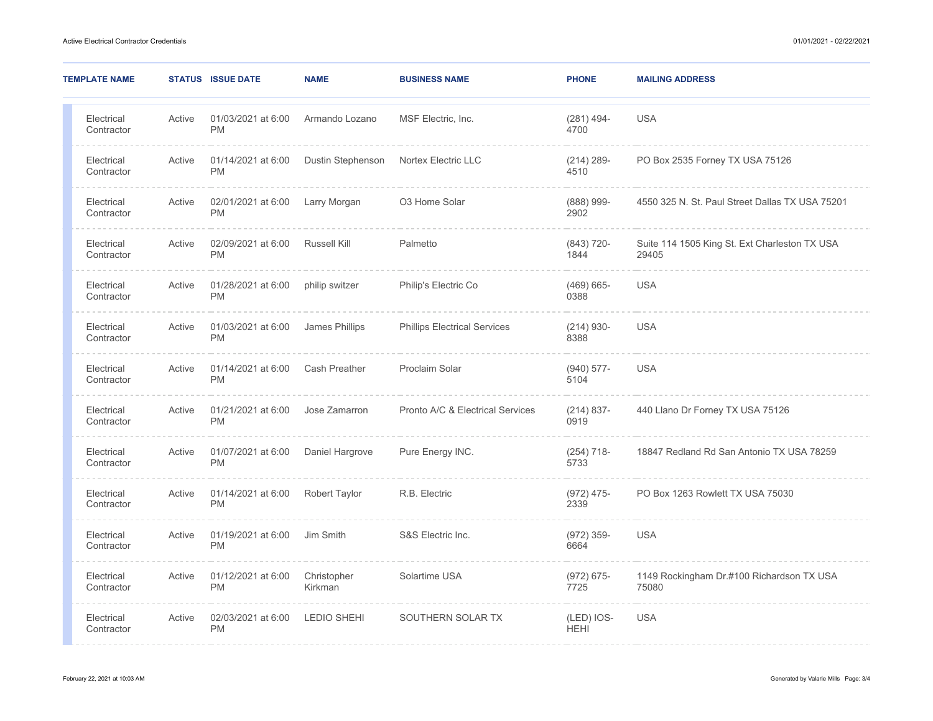| <b>TEMPLATE NAME</b>     |        | <b>STATUS ISSUE DATE</b>        | <b>NAME</b>            | <b>BUSINESS NAME</b>                | <b>PHONE</b>              | <b>MAILING ADDRESS</b>                                 |
|--------------------------|--------|---------------------------------|------------------------|-------------------------------------|---------------------------|--------------------------------------------------------|
| Electrical<br>Contractor | Active | 01/03/2021 at 6:00<br><b>PM</b> | Armando Lozano         | MSF Electric, Inc.                  | $(281)$ 494-<br>4700      | <b>USA</b>                                             |
| Electrical<br>Contractor | Active | 01/14/2021 at 6:00<br><b>PM</b> | Dustin Stephenson      | Nortex Electric LLC                 | $(214) 289 -$<br>4510     | PO Box 2535 Forney TX USA 75126                        |
| Electrical<br>Contractor | Active | 02/01/2021 at 6:00<br><b>PM</b> | Larry Morgan           | O3 Home Solar                       | $(888)$ 999-<br>2902      | 4550 325 N. St. Paul Street Dallas TX USA 75201        |
| Electrical<br>Contractor | Active | 02/09/2021 at 6:00<br><b>PM</b> | <b>Russell Kill</b>    | Palmetto                            | $(843)$ 720-<br>1844      | Suite 114 1505 King St. Ext Charleston TX USA<br>29405 |
| Electrical<br>Contractor | Active | 01/28/2021 at 6:00<br><b>PM</b> | philip switzer         | Philip's Electric Co                | $(469) 665 -$<br>0388     | <b>USA</b>                                             |
| Electrical<br>Contractor | Active | 01/03/2021 at 6:00<br><b>PM</b> | James Phillips         | <b>Phillips Electrical Services</b> | $(214)$ 930-<br>8388      | <b>USA</b>                                             |
| Electrical<br>Contractor | Active | 01/14/2021 at 6:00<br><b>PM</b> | <b>Cash Preather</b>   | Proclaim Solar                      | $(940)$ 577-<br>5104      | <b>USA</b>                                             |
| Electrical<br>Contractor | Active | 01/21/2021 at 6:00<br><b>PM</b> | Jose Zamarron          | Pronto A/C & Electrical Services    | $(214) 837 -$<br>0919     | 440 Llano Dr Forney TX USA 75126                       |
| Electrical<br>Contractor | Active | 01/07/2021 at 6:00<br><b>PM</b> | Daniel Hargrove        | Pure Energy INC.                    | $(254)$ 718-<br>5733      | 18847 Redland Rd San Antonio TX USA 78259              |
| Electrical<br>Contractor | Active | 01/14/2021 at 6:00<br><b>PM</b> | <b>Robert Taylor</b>   | R.B. Electric                       | $(972)$ 475-<br>2339      | PO Box 1263 Rowlett TX USA 75030                       |
| Electrical<br>Contractor | Active | 01/19/2021 at 6:00<br><b>PM</b> | Jim Smith              | S&S Electric Inc.                   | $(972)$ 359-<br>6664      | <b>USA</b>                                             |
| Electrical<br>Contractor | Active | 01/12/2021 at 6:00<br><b>PM</b> | Christopher<br>Kirkman | Solartime USA                       | $(972) 675 -$<br>7725     | 1149 Rockingham Dr.#100 Richardson TX USA<br>75080     |
| Electrical<br>Contractor | Active | 02/03/2021 at 6:00<br><b>PM</b> | <b>LEDIO SHEHI</b>     | SOUTHERN SOLAR TX                   | (LED) IOS-<br><b>HEHI</b> | <b>USA</b>                                             |